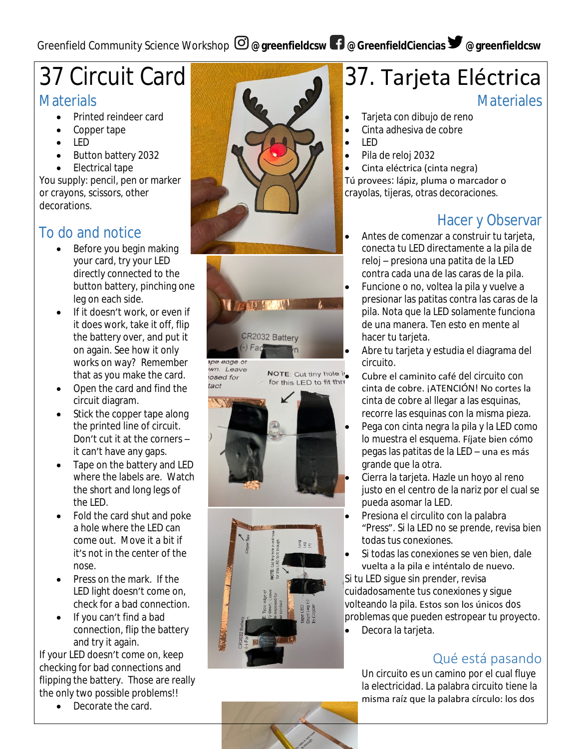## Greenfield Community Science Workshop  $\Theta$  @greenfieldcsw  $\blacksquare$  @GreenfieldCiencias  $\blacktriangleright$  @greenfieldcsw

# 37 Circuit Card

#### **Materials**

- Printed reindeer card
- Copper tape
- LED
- Button battery 2032
- Electrical tape

You supply: pencil, pen or marker or crayons, scissors, other decorations.

## To do and notice

- Before you begin making your card, try your LED directly connected to the button battery, pinching one leg on each side.
- If it doesn't work, or even if it does work, take it off, flip the battery over, and put it on again. See how it only works on way? Remember that as you make the card.
- Open the card and find the circuit diagram.
- Stick the copper tape along the printed line of circuit. Don't cut it at the corners – it can't have any gaps.
- Tape on the battery and LED where the labels are. Watch the short and long legs of the LED.
- Fold the card shut and poke a hole where the LED can come out. Move it a bit if it's not in the center of the nose.
- Press on the mark. If the LED light doesn't come on, check for a bad connection.
- If you can't find a bad connection, flip the battery and try it again.

If your LED doesn't come on, keep checking for bad connections and flipping the battery. Those are really the only two possible problems!!

• Decorate the card.



# 37. Tarjeta Eléctrica

**Materiales** 

- Tarjeta con dibujo de reno
- Cinta adhesiva de cobre
- LED
- Pila de reloj 2032
- Cinta eléctrica (cinta negra) Tú provees: lápiz, pluma o marcador o

crayolas, tijeras, otras decoraciones.

## Hacer y Observar

- Antes de comenzar a construir tu tarjeta, conecta tu LED directamente a la pila de reloj – presiona una patita de la LED contra cada una de las caras de la pila.
- Funcione o no, voltea la pila y vuelve a presionar las patitas contra las caras de la pila. Nota que la LED solamente funciona de una manera. Ten esto en mente al hacer tu tarjeta.
- Abre tu tarjeta y estudia el diagrama del circuito.
- NOTE: Cut tiny hole i.<br>for this LED to fit three **Cubre el caminito café del circuito con** cinta de cobre. ¡ATENCIÓN! No cortes la cinta de cobre al llegar a las esquinas, recorre las esquinas con la misma pieza.
	- Pega con cinta negra la pila y la LED como lo muestra el esquema. Fíjate bien cómo pegas las patitas de la LED – una es más grande que la otra.
	- Cierra la tarjeta. Hazle un hoyo al reno justo en el centro de la nariz por el cual se pueda asomar la LED.
	- Presiona el circulito con la palabra "Press". Si la LED no se prende, revisa bien todas tus conexiones.
	- Si todas las conexiones se ven bien, dale vuelta a la pila e inténtalo de nuevo.

Si tu LED sigue sin prender, revisa cuidadosamente tus conexiones y sigue volteando la pila. Estos son los únicos dos problemas que pueden estropear tu proyecto.

Decora la tarjeta.

#### Qué está pasando

Un circuito es un camino por el cual fluye la electricidad. La palabra circuito tiene la misma raíz que la palabra círculo: los dos